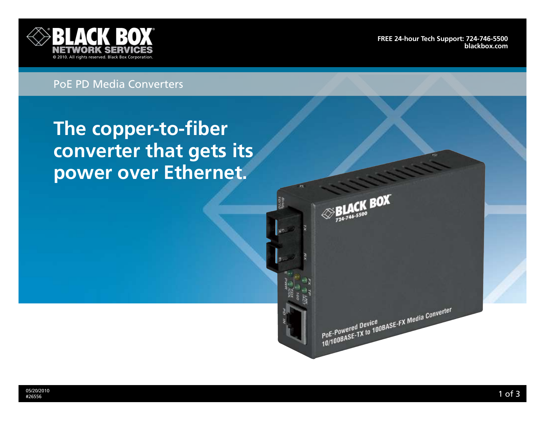

**[FrEE 24-hour Tech support: 724-746-5500](http://www.blackbox.com/Store/storefront.aspx) blackbox.com**

## PoE PD Media Converters

# **The copper-to-fiber converter that gets its power over Ethernet.**

 $\otimes$ BLACK BOX

PoE-Powered Device<br>PoE-Powered Device<br>10/100BASE-TX to 100BASE-FX Media Converter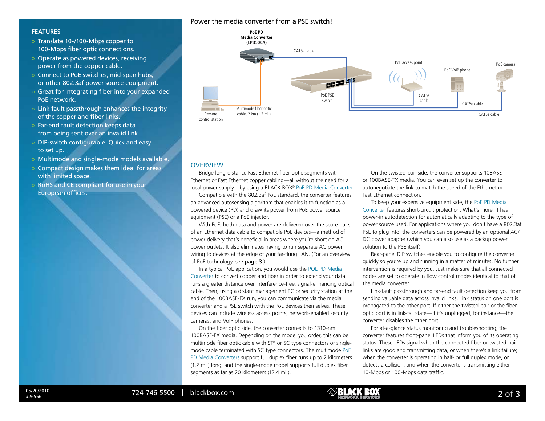#### Power the media converter from a PSE switch!

#### **Features**

- » Translate 10-/100-Mbps copper to 100-Mbps fiber optic connections.
- » Operate as powered devices, receiving power from the copper cable.
- » Connect to PoE switches, mid-span hubs, or other 802.3af power source equipment.
- » Great for integrating fiber into your expanded PoE network.
- » Link fault passthrough enhances the integrity of the copper and fiber links.
- » Far-end fault detection keeps data from being sent over an invalid link.
- » DIP-switch configurable. Quick and easy to set up.
- » Multimode and single-mode models available.
- » Compact design makes them ideal for areas with limited space.
- » RoHS and CE compliant for use in your European offices.



#### **OVERVIEW**

Bridge long-distance Fast Ethernet fiber optic segments with Ethernet or Fast Ethernet copper cabling—all without the need for a local power supply—by using a BLACK BOX® PoE PD Media Converter.

Compatible with the 802.3af PoE standard, the converter features an advanced autosensing algorithm that enables it to function as a powered device (PD) and draw its power from PoE power source equipment (PSE) or a PoE injector.

With PoE, both data and power are delivered over the spare pairs of an Ethernet data cable to compatible PoE devices—a method of power delivery that's beneficial in areas where you're short on AC power outlets. It also eliminates having to run separate AC power wiring to devices at the edge of your far-flung LAN. (For an overview of PoE technology, see **page 3**.)

In a typical PoE application, you would use the POE PD Media Converter to convert copper and fiber in order to extend your data runs a greater distance over interference-free, signal-enhancing optical cable. Then, using a distant management PC or security station at the end of the 100BASE-FX run, you can communicate via the media converter and a PSE switch with the PoE devices themselves. These devices can include wireless access points, network-enabled security cameras, and VoIP phones.

On the fiber optic side, the converter connects to 1310-nm 100BASE-FX media. Depending on the model you order, this can be multimode fiber optic cable with ST® or SC type connectors or singlemode cable terminated with SC type connectors. The multimode PoE PD Media Converters support full duplex fiber runs up to 2 kilometers (1.2 mi.) long, and the single-mode model supports full duplex fiber segments as far as 20 kilometers (12.4 mi.).

On the twisted-pair side, the converter supports 10BASE-T or 100BASE-TX media. You can even set up the converter to autonegotiate the link to match the speed of the Ethernet or Fast Ethernet connection.

To keep your expensive equipment safe, the PoE PD Media Converter features short-circuit protection. What's more, it has power-in autodetection for automatically adapting to the type of power source used. For applications where you don't have a 802.3af PSE to plug into, the converters can be powered by an optional AC/ DC power adapter (which you can also use as a backup power solution to the PSE itself).

Rear-panel DIP switches enable you to configure the converter quickly so you're up and running in a matter of minutes. No further intervention is required by you. Just make sure that all connected nodes are set to operate in flow control modes identical to that of the media converter.

Link-fault passthrough and far-end fault detection keep you from sending valuable data across invalid links. Link status on one port is propagated to the other port. If either the twisted-pair or the fiber optic port is in link-fail state—if it's unplugged, for instance—the converter disables the other port.

For at-a-glance status monitoring and troubleshooting, the converter features front-panel LEDs that inform you of its operating status. These LEDs signal when the connected fiber or twisted-pair links are good and transmitting data, or when there's a link failure; when the converter is operating in half- or full duplex mode, or detects a collision; and when the converter's transmitting either 10-Mbps or 100-Mbps data traffic.